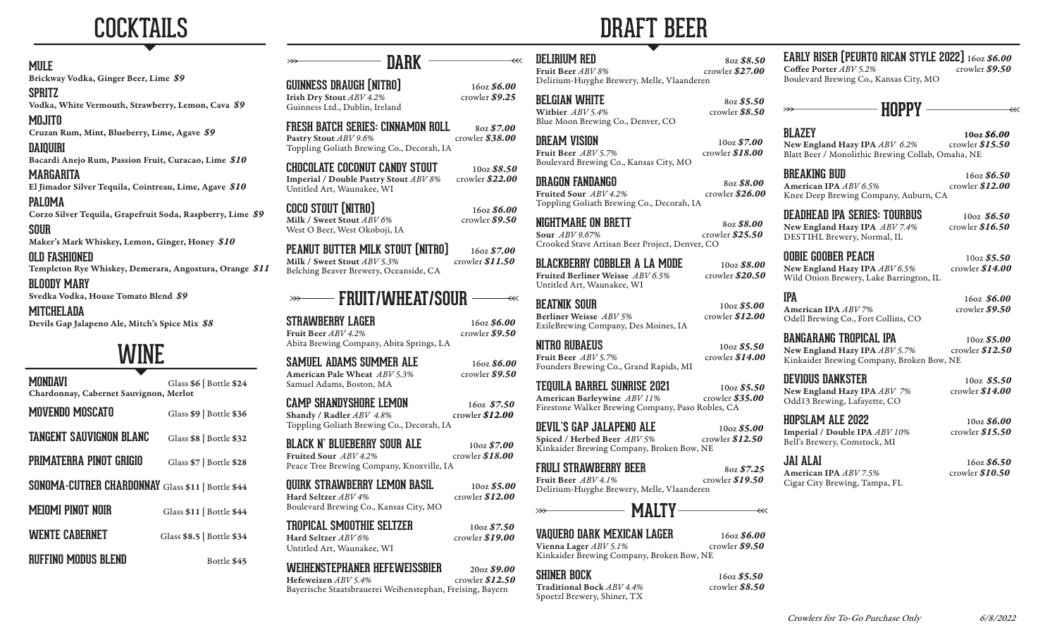

### **MULE**

Brickway Vodka, Ginger Beer, Lime *\$9*

**SPRITZ** Vodka, White Vermouth, Strawberry, Lemon, Cava *\$9*

**MOJITO** Cruzan Rum, Mint, Blueberry, Lime, Agave *\$9*

**DAIQUIRI**

Bacardi Anejo Rum, Passion Fruit, Curacao, Lime *\$10*

**MARGARITA** El Jimador Silver Tequila, Cointreau, Lime, Agave *\$10*

**PALOMA**

Corzo Silver Tequila, Grapefruit Soda, Raspberry, Lime *\$9*

**SOUR** Maker's Mark Whiskey, Lemon, Ginger, Honey *\$10*

**OLD FASHIONED**

Templeton Rye Whiskey, Demerara, Angostura, Orange *\$11*

**BLOODY MARY**

Svedka Vodka, House Tomato Blend *\$9*

**MITCHELADA** Devils Gap Jalapeno Ale, Mitch's Spice Mix *\$8*

# WINE

**MONDAVI** Glass \$6 | Bottle \$24 Chardonnay, Cabernet Sauvignon, Merlot **MOVENDO MOSCATO** Glass \$9 | Bottle \$36 **TANGENT SAUVIGNON BLANC** Glass \$8 | Bottle \$32 PRIMATERRA PINOT GRIGIO Glass \$7 | Bottle \$28

**SONOMA-CUTRER CHARDONNAY** Glass \$11 | Bottle \$44 **MEIOMI PINOT NOIR** Glass \$11 | Bottle \$44 **WENTE CABERNET** Glass \$8.5 | Bottle \$34

**RUFFINO MODUS BLEND** Bottle \$45

**GUINNESS DRAUGH [NITRO]** 16oz **\$6.00**<br>Irish Dry Stout *ABV 4.2%* crowler **\$9.25** Irish Dry Stout  $ABV$  4.2% Guinness Ltd., Dublin, Ireland

**FRESH BATCH SERIES: CINNAMON ROLL 80z \$7.00**<br>Pastry Stout ABV 9.6% Pastry Stout *ABV 9.6%* Toppling Goliath Brewing Co., Decorah, IA

**DARK**

**CHOCOLATE COCONUT CANDY STOUT** 10oz *\$8.50* Imperial / Double Pastry Stout *ABV 8%* Untitled Art, Waunakee, WI

**COCO STOUT [NITRO]** 16oz **\$6.00**<br>Milk / Sweet Stout *ABV 6%* crowler **\$9.50** Milk / Sweet Stout  $ABV$  6% West O Beer, West Okoboji, IA

**PEANUT BUTTER MILK STOUT (NITRO)** 16oz *\$7.00* Milk / Sweet Stout *ABV* 5.3% Belching Beaver Brewery, Oceanside, CA

## **FRUIT/WHEAT/SOUR**

**STRAWBERRY LAGER** 16oz \$6.00<br>Fruit Beer ABV 4.2% crowler \$9.50 Fruit Beer *ABV 4.2%* Abita Brewing Company, Abita Springs, LA

| SAMUEL ADAMS SUMMER ALE      | 160z \$6.00     |
|------------------------------|-----------------|
| American Pale Wheat ABV 5.3% | crowler $$9.50$ |
| Samuel Adams, Boston, MA     |                 |

**CAMP SHANDYSHORE LEMON** 16oz \$7.50<br>
Shandy / Radler ABV 4.8% crowler \$12.00 Shandy / Radler  $ABV$  4.8% Toppling Goliath Brewing Co., Decorah, IA

**BLACK N' BLUEBERRY SOUR ALE** 10oz \$7.00<br>Fruited Sour *ABV 4.2%* crowler \$18.00 Fruited Sour  $ABV4.2%$ Peace Tree Brewing Company, Knoxville, IA

**QUIRK STRAWBERRY LEMON BASIL** 10oz *\$5.00* Hard Seltzer *ABV 4%* Boulevard Brewing Co., Kansas City, MO

**TROPICAL SMOOTHIE SELTZER** 10oz *\$7.50* Hard Seltzer *ABV 6%* Untitled Art, Waunakee, WI

**WEIHENSTEPHANER HEFEWEISSBIER** 20oz *\$9.00* Hefeweizen *ABV* 5.4% Bayerische Staatsbrauerei Weihenstephan, Freising, Bayern

# DRAFT BEER

**DELIRIUM RED** 8oz \$8.50<br>Fruit Beer ABV 8% crowler \$27.00 Delirium-Huyghe Brewery, Melle, Vlaanderen

**BELGIAN WHITE** 8oz \$5.50<br>Withier  $ABV$  5.4% crowler \$8.50 Witbier  $ABV$  5.4% Blue Moon Brewing Co., Denver, CO

 $\overline{\mathscr{C}}$ 

**DREAM VISION** 10oz \$7.00<br>
Fruit Beer *ABV 5.7%* crowler \$18.00  $Fruit Beer$  *ABV 5.7%* Boulevard Brewing Co., Kansas City, MO

**DRAGON FANDANGO** 80z \$8.00<br> **80z \$26.00**<br> **826.00** Toppling Goliath Brewing Co., Decorah, IA

**NIGHTMARE ON BRETT** 80z \$8.00<br> **Sour** ABV 9.67% crowler \$25.50 Crooked Stave Artisan Beer Project, Denver, CO

**BLACKBERRY COBBLER A LA MODE** 10oz \$8.00<br> **Explore Berliner Weisse ABV 6.5%** crowler \$20.50 Fruited Berliner Weisse  $ABV 6.5%$ Untitled Art, Waunakee, WI

**BEATNIK SOUR** 10oz \$5.00<br>Berliner Weisse ABV 5% crowler \$12.00

ExileBrewing Company, Des Moines, IA

**NITRO RUBAEUS** 10oz \$5.50<br>Fruit Beer *ABV 5.7%* crowler \$14.00 Founders Brewing Co., Grand Rapids, MI

**TEQUILA BARREL SUNRISE 2021** 10oz *\$5.50* American Barleywine *ABV 11%* Firestone Walker Brewing Company, Paso Robles, CA

Spiced / Herbed Beer  $ABV5%$ Kinkaider Brewing Company, Broken Bow, NE

## **FRULI STRAWBERRY BEER** 80z \$7.25<br>Fruit Beer *ABV 4.1%* crowler \$19.50

Fruit Beer  $ABV4.1%$ Delirium-Huyghe Brewery, Melle, Vlaanderen

## **MALTY**

# **VAQUERO DARK MEXICAN LAGER** 16oz \$6.00<br>Vienna Lager ABV 5.1% crowler \$9.50

Vienna Lager *ABV 5.1%* Kinkaider Brewing Company, Broken Bow, NE

**SHINER BOCK** 16oz \$5.50<br> **Traditional Bock** ABV 4.4% crowler \$8.50 Spoetzl Brewery, Shiner, TX

**EARLY RISER (PEURTO RICAN STYLE 2022)** 16oz *\$6.00*  Coffee Porter  $ABV$  5.2% Boulevard Brewing Co., Kansas City, MO

 **HOPPY**

**BLAZEY** 10oz *\$6.00* New England Hazy IPA *ABV* 6.2% Blatt Beer / Monolithic Brewing Collab, Omaha, NE

**BREAKING BUD** 16oz \$6.50<br>American IPA *ABV* 6.5% crowler \$12.00 American IPA *ABV* 6.5% Knee Deep Brewing Company, Auburn, CA

**DEADHEAD IPA SERIES: TOURBUS** 10oz \$6.50<br>New England Hazy IPA ABV 7.4% crowler \$16.50 New England Hazy IPA  $ABV$  7.4% DESTIHL Brewery, Normal, IL

**OOBIE GOOBER PEACH** 10oz \$5.50<br>New England Hazy IPA ABV 6.5% crowler \$14.00 New England Hazy IPA  $ABV$  6.5% Wild Onion Brewery, Lake Barrington, IL

**IPA** 16oz **\$6.00**<br>American IPA *ABV* 7% crowler **\$9.50** American IPA *ABV 7%* Odell Brewing Co., Fort Collins, CO

**BANGARANG TROPICAL IPA** 10oz \$5.00<br>New England Hazy IPA ABV 5.7% crowler \$12.50 New England Hazy IPA *ABV 5.7%* Kinkaider Brewing Company, Broken Bow, NE

**DEVIOUS DANKSTER** 10oz *\$5.50*  Odd13 Brewing, Lafayette, CO

**HOPSLAM ALE 2022** 10oz *\$6.00* Imperial / Double IPA *ABV 10%* Bell's Brewery, Comstock, MI

**JAI ALAI** 16oz **\$6.50**<br>American IPA *ABV* 7.5% crowler \$10.50 American IPA *ABV* 7.5% Cigar City Brewing, Tampa, FL